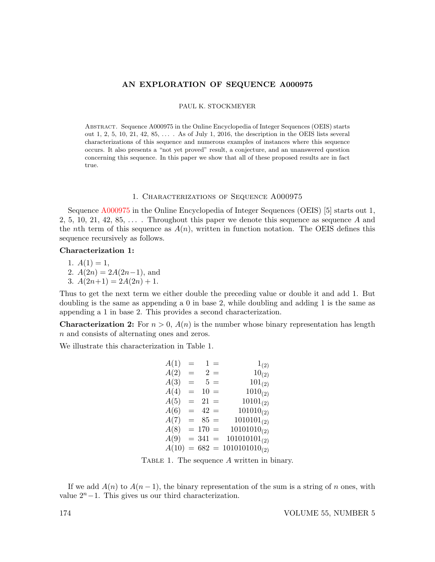## AN EXPLORATION OF SEQUENCE A000975

PAUL K. STOCKMEYER

Abstract. Sequence A000975 in the Online Encyclopedia of Integer Sequences (OEIS) starts out 1, 2, 5, 10, 21, 42, 85,  $\dots$  . As of July 1, 2016, the description in the OEIS lists several characterizations of this sequence and numerous examples of instances where this sequence occurs. It also presents a "not yet proved" result, a conjecture, and an unanswered question concerning this sequence. In this paper we show that all of these proposed results are in fact true.

#### 1. Characterizations of Sequence A000975

Sequence [A000975](https://oeis.org/A000975) in the Online Encyclopedia of Integer Sequences (OEIS) [5] starts out 1, 2, 5, 10, 21, 42, 85,  $\dots$ . Throughout this paper we denote this sequence as sequence A and the nth term of this sequence as  $A(n)$ , written in function notation. The OEIS defines this sequence recursively as follows.

## Characterization 1:

1.  $A(1) = 1$ , 2.  $A(2n) = 2A(2n-1)$ , and 3.  $A(2n+1) = 2A(2n) + 1$ .

Thus to get the next term we either double the preceding value or double it and add 1. But doubling is the same as appending a 0 in base 2, while doubling and adding 1 is the same as appending a 1 in base 2. This provides a second characterization.

**Characterization 2:** For  $n > 0$ ,  $A(n)$  is the number whose binary representation has length n and consists of alternating ones and zeros.

We illustrate this characterization in Table 1.

| A(1)  | $=$ |           | $1 =$    | $1_{(2)}$          |
|-------|-----|-----------|----------|--------------------|
| A(2)  | $=$ |           | $2 =$    | $10_{(2)}$         |
| A(3)  | $=$ |           | $5 =$    | $101_{(2)}$        |
| A(4)  | $=$ | $10 =$    |          | $1010_{(2)}$       |
| A(5)  | $=$ | $21 =$    |          | $10101_{(2)}$      |
| A(6)  | $=$ | $42 =$    |          | $101010_{(2)}$     |
| A(7)  | $=$ | $85 =$    |          | $1010101_{(2)}$    |
| A(8)  |     | $= 170$   | $\equiv$ | $10101010_{(2)}$   |
| A(9)  |     | $= 341 =$ |          | $101010101_{(2)}$  |
| A(10) |     | $= 682 =$ |          | $1010101010_{(2)}$ |

TABLE 1. The sequence A written in binary.

If we add  $A(n)$  to  $A(n-1)$ , the binary representation of the sum is a string of n ones, with value  $2<sup>n</sup>−1$ . This gives us our third characterization.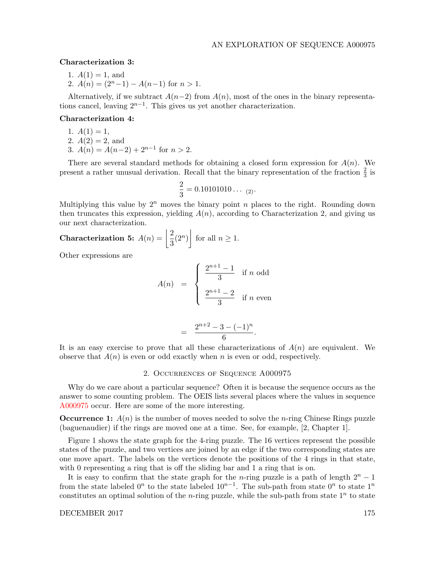## Characterization 3:

- 1.  $A(1) = 1$ , and
- 2.  $A(n) = (2<sup>n</sup> 1) A(n-1)$  for  $n > 1$ .

Alternatively, if we subtract  $A(n-2)$  from  $A(n)$ , most of the ones in the binary representations cancel, leaving  $2^{n-1}$ . This gives us yet another characterization.

## Characterization 4:

- 1.  $A(1) = 1$ ,
- 2.  $A(2) = 2$ , and
- 3.  $A(n) = A(n-2) + 2^{n-1}$  for  $n > 2$ .

There are several standard methods for obtaining a closed form expression for  $A(n)$ . We present a rather unusual derivation. Recall that the binary representation of the fraction  $\frac{2}{3}$  is

$$
\frac{2}{3}=0.10101010\ldots \ _{(2)}.
$$

Multiplying this value by  $2^n$  moves the binary point n places to the right. Rounding down then truncates this expression, yielding  $A(n)$ , according to Characterization 2, and giving us our next characterization.

**Characterization 5:** 
$$
A(n) = \left\lfloor \frac{2}{3} (2^n) \right\rfloor
$$
 for all  $n \ge 1$ .

Other expressions are

$$
A(n) = \begin{cases} \frac{2^{n+1} - 1}{3} & \text{if } n \text{ odd} \\ \frac{2^{n+1} - 2}{3} & \text{if } n \text{ even} \end{cases}
$$

$$
= \frac{2^{n+2} - 3 - (-1)^n}{6}.
$$

It is an easy exercise to prove that all these characterizations of  $A(n)$  are equivalent. We observe that  $A(n)$  is even or odd exactly when n is even or odd, respectively.

## 2. Occurrences of Sequence A000975

Why do we care about a particular sequence? Often it is because the sequence occurs as the answer to some counting problem. The OEIS lists several places where the values in sequence [A000975](https://oeis.org/A000975) occur. Here are some of the more interesting.

**Occurrence 1:**  $A(n)$  is the number of moves needed to solve the *n*-ring Chinese Rings puzzle (baguenaudier) if the rings are moved one at a time. See, for example, [2, Chapter 1].

Figure 1 shows the state graph for the 4-ring puzzle. The 16 vertices represent the possible states of the puzzle, and two vertices are joined by an edge if the two corresponding states are one move apart. The labels on the vertices denote the positions of the 4 rings in that state, with 0 representing a ring that is off the sliding bar and 1 a ring that is on.

It is easy to confirm that the state graph for the n-ring puzzle is a path of length  $2<sup>n</sup> - 1$ from the state labeled  $0^n$  to the state labeled  $10^{n-1}$ . The sub-path from state  $0^n$  to state  $1^n$ constitutes an optimal solution of the *n*-ring puzzle, while the sub-path from state  $1^n$  to state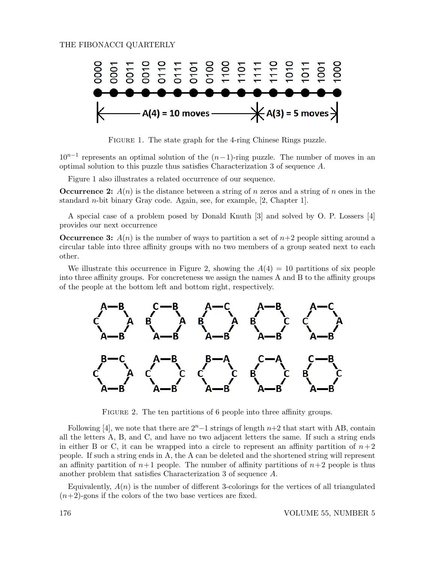

FIGURE 1. The state graph for the 4-ring Chinese Rings puzzle.

 $10^{n-1}$  represents an optimal solution of the  $(n-1)$ -ring puzzle. The number of moves in an optimal solution to this puzzle thus satisfies Characterization 3 of sequence A.

Figure 1 also illustrates a related occurrence of our sequence.

**Occurrence 2:**  $A(n)$  is the distance between a string of n zeros and a string of n ones in the standard *n*-bit binary Gray code. Again, see, for example,  $[2, Chapter 1]$ .

A special case of a problem posed by Donald Knuth [3] and solved by O. P. Lossers [4] provides our next occurrence

**Occurrence 3:**  $A(n)$  is the number of ways to partition a set of  $n+2$  people sitting around a circular table into three affinity groups with no two members of a group seated next to each other.

We illustrate this occurrence in Figure 2, showing the  $A(4) = 10$  partitions of six people into three affinity groups. For concreteness we assign the names A and B to the affinity groups of the people at the bottom left and bottom right, respectively.



FIGURE 2. The ten partitions of 6 people into three affinity groups.

Following [4], we note that there are  $2<sup>n</sup> - 1$  strings of length  $n+2$  that start with AB, contain all the letters A, B, and C, and have no two adjacent letters the same. If such a string ends in either B or C, it can be wrapped into a circle to represent an affinity partition of  $n+2$ people. If such a string ends in A, the A can be deleted and the shortened string will represent an affinity partition of  $n+1$  people. The number of affinity partitions of  $n+2$  people is thus another problem that satisfies Characterization 3 of sequence A.

Equivalently,  $A(n)$  is the number of different 3-colorings for the vertices of all triangulated  $(n+2)$ -gons if the colors of the two base vertices are fixed.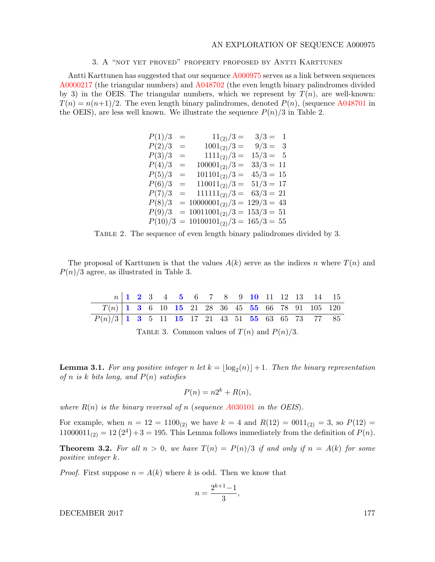## AN EXPLORATION OF SEQUENCE A000975

## 3. A "not yet proved" property proposed by Antti Karttunen

Antti Karttunen has suggested that our sequence [A000975](https://oeis.org/A000975) serves as a link between sequences [A0000217](https://oeis.org/A0000217) (the triangular numbers) and [A048702](https://oeis.org/A048702) (the even length binary palindromes divided by 3) in the OEIS. The triangular numbers, which we represent by  $T(n)$ , are well-known:  $T(n) = n(n+1)/2$ . The even length binary palindromes, denoted  $P(n)$ , (sequence [A048701](https://oeis.org/A048701) in the OEIS), are less well known. We illustrate the sequence  $P(n)/3$  in Table 2.

| P(1)/3  | $=$ | $11_{(2)}/3 =$                    | $3/3 =$<br>-1   |
|---------|-----|-----------------------------------|-----------------|
| P(2)/3  | $=$ | $1001_{(2)}/3 =$                  | $9/3 =$<br>- 3  |
| P(3)/3  | $=$ | $1111_{(2)}/3 =$                  | $15/3 =$<br>- 5 |
| P(4)/3  | $=$ | $100001_{(2)}/3 =$                | $33/3 = 11$     |
| P(5)/3  | $=$ | $101101_{(2)}/3 =$                | $45/3 = 15$     |
| P(6)/3  | $=$ | $110011_{(2)}/3 =$                | $51/3 = 17$     |
| P(7)/3  | $=$ | $111111_{(2)}/3 =$                | $63/3 = 21$     |
| P(8)/3  |     | $= 10000001_{(2)}/3 = 129/3 = 43$ |                 |
| P(9)/3  |     | $= 10011001_{(2)}/3 = 153/3 = 51$ |                 |
| P(10)/3 |     | $= 10100101_{(2)}/3 = 165/3 = 55$ |                 |

Table 2. The sequence of even length binary palindromes divided by 3.

The proposal of Karttunen is that the values  $A(k)$  serve as the indices n where  $T(n)$  and  $P(n)/3$  agree, as illustrated in Table 3.

|                                                    |  |  |  |  |  |  | $n \begin{array}{c ccccccccc} n & 1 & 2 & 3 & 4 & 5 & 6 & 7 & 8 & 9 & 10 & 11 & 12 & 13 & 14 & 15 \end{array}$ |  |
|----------------------------------------------------|--|--|--|--|--|--|----------------------------------------------------------------------------------------------------------------|--|
| $T(n)$ 1 3 6 10 15 21 28 36 45 55 66 78 91 105 120 |  |  |  |  |  |  |                                                                                                                |  |
| $P(n)/3$ 1 3 5 11 15 17 21 43 51 55 63 65 73 77 85 |  |  |  |  |  |  |                                                                                                                |  |

TABLE 3. Common values of  $T(n)$  and  $P(n)/3$ .

**Lemma 3.1.** For any positive integer n let  $k = \lfloor \log_2(n) \rfloor + 1$ . Then the binary representation of n is k bits long, and  $P(n)$  satisfies

$$
P(n) = n2^k + R(n),
$$

where  $R(n)$  is the binary reversal of n (sequence A[030101](https://oeis.org/A030101) in the OEIS).

For example, when  $n = 12 = 1100_{(2)}$  we have  $k = 4$  and  $R(12) = 0011_{(2)} = 3$ , so  $P(12) =$  $11000011_{(2)} = 12(2^4) + 3 = 195$ . This Lemma follows immediately from the definition of  $P(n)$ .

**Theorem 3.2.** For all  $n > 0$ , we have  $T(n) = P(n)/3$  if and only if  $n = A(k)$  for some positive integer k.

*Proof.* First suppose  $n = A(k)$  where k is odd. Then we know that

$$
n = \frac{2^{k+1} - 1}{3},
$$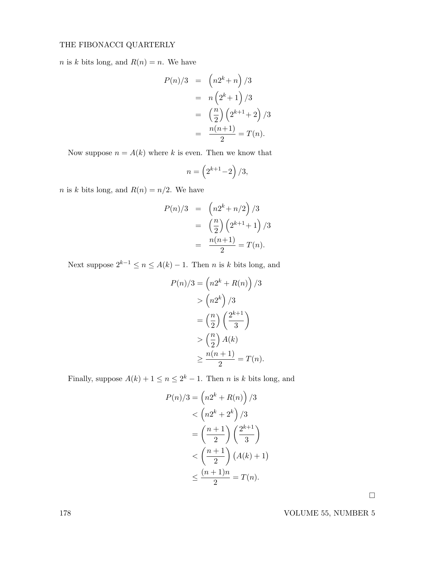*n* is *k* bits long, and  $R(n) = n$ . We have

$$
P(n)/3 = (n2^{k} + n)/3
$$
  
=  $n(2^{k} + 1)/3$   
=  $(\frac{n}{2})(2^{k+1} + 2)/3$   
=  $\frac{n(n+1)}{2} = T(n).$ 

Now suppose  $n = A(k)$  where k is even. Then we know that

$$
n = \left(2^{k+1} - 2\right)/3,
$$

*n* is *k* bits long, and  $R(n) = n/2$ . We have

$$
P(n)/3 = \left(n2^{k} + n/2\right)/3
$$
  
=  $\left(\frac{n}{2}\right)\left(2^{k+1} + 1\right)/3$   
=  $\frac{n(n+1)}{2} = T(n).$ 

Next suppose  $2^{k-1} \le n \le A(k) - 1$ . Then *n* is *k* bits long, and

$$
P(n)/3 = \left(n2^k + R(n)\right)/3
$$

$$
> \left(n2^k\right)/3
$$

$$
= \left(\frac{n}{2}\right)\left(\frac{2^{k+1}}{3}\right)
$$

$$
> \left(\frac{n}{2}\right)A(k)
$$

$$
\ge \frac{n(n+1)}{2} = T(n).
$$

Finally, suppose  $A(k) + 1 \le n \le 2^k - 1$ . Then *n* is *k* bits long, and

$$
P(n)/3 = \left(n2^k + R(n)\right)/3
$$
  

$$
< \left(n2^k + 2^k\right)/3
$$
  

$$
= \left(\frac{n+1}{2}\right)\left(\frac{2^{k+1}}{3}\right)
$$
  

$$
< \left(\frac{n+1}{2}\right)(A(k) + 1)
$$
  

$$
\leq \frac{(n+1)n}{2} = T(n).
$$

 $\Box$ 

178 VOLUME 55, NUMBER 5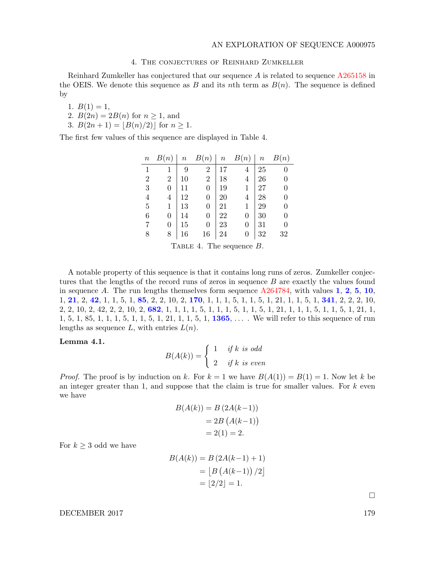## 4. The conjectures of Reinhard Zumkeller

Reinhard Zumkeller has conjectured that our sequence A is related to sequence [A265158](https://oeis.org/A265158) in the OEIS. We denote this sequence as B and its nth term as  $B(n)$ . The sequence is defined by

1.  $B(1) = 1$ ,

- 2.  $B(2n) = 2B(n)$  for  $n \ge 1$ , and
- 3.  $B(2n + 1) = |B(n)/2|$  for  $n \ge 1$ .

The first few values of this sequence are displayed in Table 4.

| $\, n$         | B(n)             |    |                  |    | $n \quad B(n) \mid n \quad B(n) \mid n \quad B(n)$ |        |                |
|----------------|------------------|----|------------------|----|----------------------------------------------------|--------|----------------|
| $\mathbf{1}$   |                  | 9  | $\overline{2}$   | 17 | $\overline{4}$                                     | 25     | $\overline{0}$ |
| $\overline{2}$ | $\overline{2}$   | 10 | $\overline{2}$   | 18 | $\overline{4}$                                     | 26     | $\overline{0}$ |
| 3              | $\overline{0}$   | 11 | $\overline{0}$   | 19 | $\mathbf{1}$                                       | 27     | $\overline{0}$ |
| $\overline{4}$ | $\overline{4}$   | 12 | 0                | 20 | $\overline{4}$                                     | $28\,$ | $\overline{0}$ |
| $\bf 5$        | 1                | 13 | 0                | 21 | $\mathbf 1$                                        | 29     | $\overline{0}$ |
| 6              | 0                | 14 | $\overline{0}$   | 22 | 0                                                  | 30     | $\overline{0}$ |
| 7              | $\boldsymbol{0}$ | 15 | $\boldsymbol{0}$ | 23 | 0                                                  | 31     | $\overline{0}$ |
| 8              | 8                | 16 | 16               | 24 | 0                                                  | $32\,$ | 32             |
|                |                  |    |                  |    |                                                    |        |                |

TABLE 4. The sequence B.

A notable property of this sequence is that it contains long runs of zeros. Zumkeller conjectures that the lengths of the record runs of zeros in sequence B are exactly the values found in sequence A. The run lengths themselves form sequence  $A264784$ , with values 1, 2, 5, 10, 1, 21, 2, 42, 1, 1, 5, 1, 85, 2, 2, 10, 2, 170, 1, 1, 1, 5, 1, 1, 5, 1, 21, 1, 1, 5, 1, 341, 2, 2, 2, 10, 2, 2, 10, 2, 42, 2, 2, 10, 2, 682, 1, 1, 1, 1, 5, 1, 1, 1, 5, 1, 1, 5, 1, 21, 1, 1, 1, 5, 1, 1, 5, 1, 21, 1, 1, 5, 1, 85, 1, 1, 1, 5, 1, 1, 5, 1, 21, 1, 1, 5, 1, 1365, . . . . We will refer to this sequence of run lengths as sequence  $L$ , with entries  $L(n)$ .

#### Lemma 4.1.

$$
B(A(k)) = \begin{cases} 1 & \text{if } k \text{ is odd} \\ 2 & \text{if } k \text{ is even} \end{cases}
$$

*Proof.* The proof is by induction on k. For  $k = 1$  we have  $B(A(1)) = B(1) = 1$ . Now let k be an integer greater than 1, and suppose that the claim is true for smaller values. For  $k$  even we have

$$
B(A(k)) = B (2A(k-1))
$$
  
= 2B (A(k-1))  
= 2(1) = 2.

For  $k \geq 3$  odd we have

$$
B(A(k)) = B (2A(k-1) + 1)
$$
  
=  $[B (A(k-1)) / 2]$   
=  $[2/2] = 1$ .

 $\Box$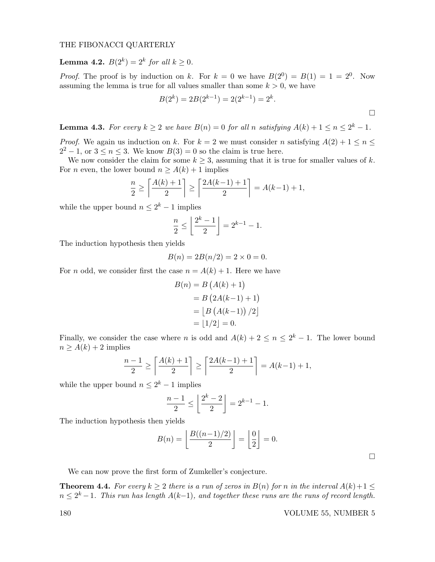**Lemma 4.2.**  $B(2^k) = 2^k$  for all  $k \ge 0$ .

*Proof.* The proof is by induction on k. For  $k = 0$  we have  $B(2^0) = B(1) = 1 = 2^0$ . Now assuming the lemma is true for all values smaller than some  $k > 0$ , we have

$$
B(2k) = 2B(2k-1) = 2(2k-1) = 2k.
$$

**Lemma 4.3.** For every  $k \geq 2$  we have  $B(n) = 0$  for all n satisfying  $A(k) + 1 \leq n \leq 2^{k} - 1$ .

*Proof.* We again us induction on k. For  $k = 2$  we must consider n satisfying  $A(2) + 1 \le n \le 2$  $2^2 - 1$ , or  $3 \le n \le 3$ . We know  $B(3) = 0$  so the claim is true here.

We now consider the claim for some  $k \geq 3$ , assuming that it is true for smaller values of k. For *n* even, the lower bound  $n \ge A(k) + 1$  implies

$$
\frac{n}{2} \ge \left\lceil \frac{A(k) + 1}{2} \right\rceil \ge \left\lceil \frac{2A(k-1) + 1}{2} \right\rceil = A(k-1) + 1,
$$

while the upper bound  $n \leq 2^k - 1$  implies

$$
\frac{n}{2} \le \left\lfloor \frac{2^k - 1}{2} \right\rfloor = 2^{k-1} - 1.
$$

The induction hypothesis then yields

$$
B(n) = 2B(n/2) = 2 \times 0 = 0.
$$

For *n* odd, we consider first the case  $n = A(k) + 1$ . Here we have

$$
B(n) = B(A(k) + 1)
$$
  
= B (2A(k-1) + 1)  
= [B (A(k-1)) / 2]  
= |1/2| = 0.

Finally, we consider the case where *n* is odd and  $A(k) + 2 \le n \le 2^k - 1$ . The lower bound  $n \geq A(k) + 2$  implies

$$
\frac{n-1}{2} \ge \left\lceil \frac{A(k)+1}{2} \right\rceil \ge \left\lceil \frac{2A(k-1)+1}{2} \right\rceil = A(k-1) + 1,
$$

while the upper bound  $n \leq 2^k - 1$  implies

$$
\frac{n-1}{2} \le \left\lfloor \frac{2^k - 2}{2} \right\rfloor = 2^{k-1} - 1.
$$

The induction hypothesis then yields

$$
B(n) = \left\lfloor \frac{B((n-1)/2)}{2} \right\rfloor = \left\lfloor \frac{0}{2} \right\rfloor = 0.
$$

 $\Box$ 

We can now prove the first form of Zumkeller's conjecture.

**Theorem 4.4.** For every  $k \geq 2$  there is a run of zeros in  $B(n)$  for n in the interval  $A(k)+1 \leq$  $n \leq 2^k - 1$ . This run has length  $A(k-1)$ , and together these runs are the runs of record length.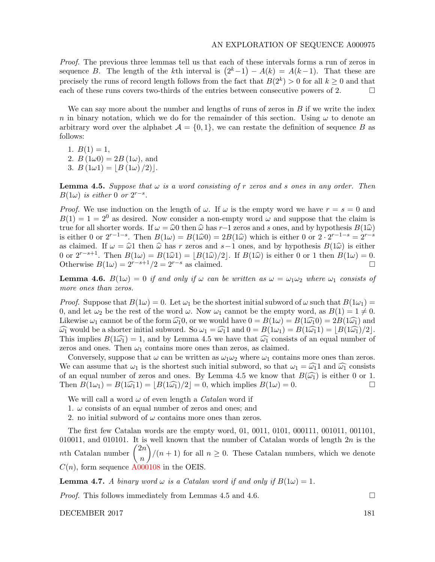Proof. The previous three lemmas tell us that each of these intervals forms a run of zeros in sequence B. The length of the kth interval is  $(2<sup>k</sup>-1) - A(k) = A(k-1)$ . That these are precisely the runs of record length follows from the fact that  $B(2^k) > 0$  for all  $k \geq 0$  and that each of these runs covers two-thirds of the entries between consecutive powers of 2.  $\Box$ 

We can say more about the number and lengths of runs of zeros in  $B$  if we write the index n in binary notation, which we do for the remainder of this section. Using  $\omega$  to denote an arbitrary word over the alphabet  $\mathcal{A} = \{0, 1\}$ , we can restate the definition of sequence B as follows:

1.  $B(1) = 1$ , 2.  $B(1\omega 0) = 2B(1\omega)$ , and 3.  $B(1\omega 1) = |B(1\omega)/2|$ .

**Lemma 4.5.** Suppose that  $\omega$  is a word consisting of r zeros and s ones in any order. Then  $B(1\omega)$  is either 0 or  $2^{r-s}$ .

*Proof.* We use induction on the length of  $\omega$ . If  $\omega$  is the empty word we have  $r = s = 0$  and  $B(1) = 1 = 2<sup>0</sup>$  as desired. Now consider a non-empty word  $\omega$  and suppose that the claim is true for all shorter words. If  $\omega = \hat{\omega}0$  then  $\hat{\omega}$  has r−1 zeros and s ones, and by hypothesis  $B(1\hat{\omega})$ <br>is either 0 or  $2^{r-1-s}$ . Then  $B(1\omega) = B(1\hat{\omega}0) = 2B(1\hat{\omega})$  which is either 0 or  $2 \cdot 2^{r-1-s} = 2^{r-s}$ <br>as cla as claimed. If  $\omega = \hat{\omega}1$  then  $\hat{\omega}$  has r zeros and s−1 ones, and by hypothesis  $B(1\hat{\omega})$  is either 0 or  $2^{r-s+1}$ . Then  $B(1\omega) = B(1\hat{\omega}1) = \lfloor B(1\hat{\omega})/2 \rfloor$ . If  $B(1\hat{\omega})$  is either 0 or 1 then  $B(1\omega) = 0$ .<br>Otherwise  $B(1\omega) = 2^{r-s+1}/2 = 2^{r-s}$  as claimed. Otherwise  $B(1\omega) = 2^{r-s+1}/2 = 2^{r-s}$  as claimed.

**Lemma 4.6.**  $B(1\omega) = 0$  if and only if  $\omega$  can be written as  $\omega = \omega_1 \omega_2$  where  $\omega_1$  consists of more ones than zeros.

*Proof.* Suppose that  $B(1\omega) = 0$ . Let  $\omega_1$  be the shortest initial subword of  $\omega$  such that  $B(1\omega_1) =$ 0, and let  $\omega_2$  be the rest of the word  $\omega$ . Now  $\omega_1$  cannot be the empty word, as  $B(1) = 1 \neq 0$ . Likewise  $\omega_1$  cannot be of the form  $\widehat{\omega_1}$ 0, or we would have  $0 = B(1\omega) = B(1\widehat{\omega_1} = 2B(1\widehat{\omega_1})$  and  $\widehat{\omega_1}$  would be a shorter initial subword. So  $\omega_1 = \widehat{\omega_1}1$  and  $0 = B(1\omega_1) = B(1\widehat{\omega_1}) = |B(1\widehat{\omega_1})/2|$ . This implies  $B(1\widehat{\omega}_1) = 1$ , and by Lemma 4.5 we have that  $\widehat{\omega}_1$  consists of an equal number of zeros and ones. Then  $\omega_1$  contains more ones than zeros, as claimed.

Conversely, suppose that  $\omega$  can be written as  $\omega_1 \omega_2$  where  $\omega_1$  contains more ones than zeros. We can assume that  $\omega_1$  is the shortest such initial subword, so that  $\omega_1 = \widehat{\omega_1} \text{1}$  and  $\widehat{\omega_1}$  consists of an equal number of zeros and ones. By Lemma 4.5 we know that  $B(\widehat{\omega_1})$  is either 0 or 1.<br>Then  $B(1\omega_1) = B(1\widehat{\omega_1}) = |B(\widehat{1\omega_1})/2| = 0$ , which implies  $B(1\omega) = 0$ . Then  $B(1\omega_1) = B(1\widehat{\omega_1}1) = |B(1\widehat{\omega_1})/2| = 0$ , which implies  $B(1\omega) = 0$ .

We will call a word  $\omega$  of even length a *Catalan* word if

1.  $\omega$  consists of an equal number of zeros and ones; and

2. no initial subword of  $\omega$  contains more ones than zeros.

The first few Catalan words are the empty word, 01, 0011, 0101, 000111, 001011, 001101, 010011, and 010101. It is well known that the number of Catalan words of length  $2n$  is the  $n\mathrm{th}$  Catalan number  $\overline{2n}$ n  $\binom{n+1}{n+1}$  for all  $n \geq 0$ . These Catalan numbers, which we denote  $C(n)$ , form sequence [A000108](https://oeis.org/A000108) in the OEIS.

**Lemma 4.7.** A binary word  $\omega$  is a Catalan word if and only if  $B(1\omega) = 1$ .

*Proof.* This follows immediately from Lemmas 4.5 and 4.6.  $\Box$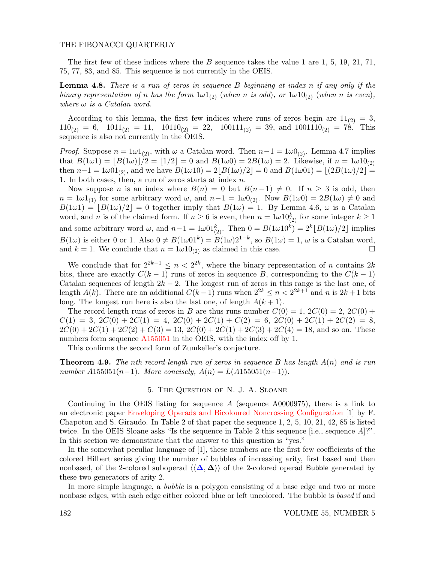The first few of these indices where the  $B$  sequence takes the value 1 are 1, 5, 19, 21, 71, 75, 77, 83, and 85. This sequence is not currently in the OEIS.

**Lemma 4.8.** There is a run of zeros in sequence  $B$  beginning at index  $n$  if any only if the binary representation of n has the form  $1\omega 1_{(2)}$  (when n is odd), or  $1\omega 10_{(2)}$  (when n is even), where  $\omega$  is a Catalan word.

According to this lemma, the first few indices where runs of zeros begin are  $11_{(2)} = 3$ ,  $110_{(2)} = 6$ ,  $1011_{(2)} = 11$ ,  $10110_{(2)} = 22$ ,  $100111_{(2)} = 39$ , and  $1001110_{(2)} = 78$ . This sequence is also not currently in the OEIS.

*Proof.* Suppose  $n = 1\omega 1_{(2)}$ , with  $\omega$  a Catalan word. Then  $n-1 = 1\omega 0_{(2)}$ . Lemma 4.7 implies that  $B(1\omega 1) = |B(1\omega)|/2 = |1/2| = 0$  and  $B(1\omega 0) = 2B(1\omega) = 2$ . Likewise, if  $n = 1\omega 10_{(2)}$ then  $n-1 = 1\omega 01_{(2)}$ , and we have  $B(1\omega 10) = 2|B(1\omega)/2| = 0$  and  $B(1\omega 01) = |(2B(1\omega)/2| =$ 1. In both cases, then, a run of zeros starts at index n.

Now suppose *n* is an index where  $B(n) = 0$  but  $B(n-1) \neq 0$ . If  $n \geq 3$  is odd, then  $n = 1\omega 1_{(1)}$  for some arbitrary word  $\omega$ , and  $n-1 = 1\omega 0_{(2)}$ . Now  $B(1\omega 0) = 2B(1\omega) \neq 0$  and  $B(1\omega 1) = [B(1\omega)/2] = 0$  together imply that  $B(1\omega) = 1$ . By Lemma 4.6,  $\omega$  is a Catalan word, and n is of the claimed form. If  $n \geq 6$  is even, then  $n = 1\omega 10_{(2)}^k$  for some integer  $k \geq 1$ and some arbitrary word  $\omega$ , and  $n-1 = 1\omega 01_{(2)}^k$ . Then  $0 = B(1\omega 10^k) = 2^k \lfloor B(1\omega)/2 \rfloor$  implies  $B(1\omega)$  is either 0 or 1. Also  $0 \neq B(1\omega)1^k = B(1\omega)2^{1-k}$ , so  $B(1\omega) = 1$ ,  $\omega$  is a Catalan word, and  $k = 1$ . We conclude that  $n = 1\omega 10_{(2)}$  as claimed in this case.

We conclude that for  $2^{2k-1} \leq n < 2^{2k}$ , where the binary representation of n contains 2k bits, there are exactly  $C(k-1)$  runs of zeros in sequence B, corresponding to the  $C(k-1)$ Catalan sequences of length  $2k - 2$ . The longest run of zeros in this range is the last one, of length  $A(k)$ . There are an additional  $C(k-1)$  runs when  $2^{2k} \leq n < 2^{2k+1}$  and n is  $2k+1$  bits long. The longest run here is also the last one, of length  $A(k + 1)$ .

The record-length runs of zeros in B are thus runs number  $C(0) = 1$ ,  $2C(0) = 2$ ,  $2C(0) +$  $C(1) = 3$ ,  $2C(0) + 2C(1) = 4$ ,  $2C(0) + 2C(1) + C(2) = 6$ ,  $2C(0) + 2C(1) + 2C(2) = 8$ ,  $2C(0) + 2C(1) + 2C(2) + C(3) = 13$ ,  $2C(0) + 2C(1) + 2C(3) + 2C(4) = 18$ , and so on. These numbers form sequence [A155051](https://oeis.org/A155051) in the OEIS, with the index off by 1.

This confirms the second form of Zumkeller's conjecture.

**Theorem 4.9.** The nth record-length run of zeros in sequence B has length  $A(n)$  and is run number  $A155051(n-1)$ . More concisely,  $A(n) = L(A155051(n-1))$ .

## 5. The Question of N. J. A. Sloane

Continuing in the OEIS listing for sequence  $A$  (sequence A0000975), there is a link to an electronic paper [Enveloping Operads and Bicoloured Noncrossing Configuration](http://arxiv.org/abs/1310.4521) [1] by F. Chapoton and S. Giraudo. In Table 2 of that paper the sequence 1, 2, 5, 10, 21, 42, 85 is listed twice. In the OEIS Sloane asks "Is the sequence in Table 2 this sequence [i.e., sequence A]?". In this section we demonstrate that the answer to this question is "yes."

In the somewhat peculiar language of [1], these numbers are the first few coefficients of the colored Hilbert series giving the number of bubbles of increasing arity, first based and then nonbased, of the 2-colored suboperad  $\langle\langle\Delta,\Delta\rangle\rangle$  of the 2-colored operad Bubble generated by these two generators of arity 2.

In more simple language, a *bubble* is a polygon consisting of a base edge and two or more nonbase edges, with each edge either colored blue or left uncolored. The bubble is based if and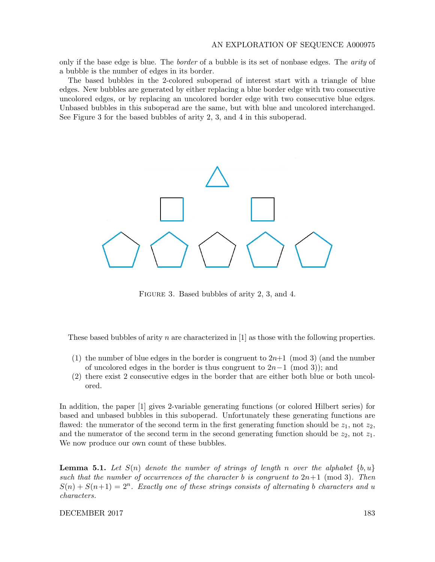only if the base edge is blue. The *border* of a bubble is its set of nonbase edges. The *arity* of a bubble is the number of edges in its border.

The based bubbles in the 2-colored suboperad of interest start with a triangle of blue edges. New bubbles are generated by either replacing a blue border edge with two consecutive uncolored edges, or by replacing an uncolored border edge with two consecutive blue edges. Unbased bubbles in this suboperad are the same, but with blue and uncolored interchanged. See Figure 3 for the based bubbles of arity 2, 3, and 4 in this suboperad.



FIGURE 3. Based bubbles of arity 2, 3, and 4.

These based bubbles of arity n are characterized in  $[1]$  as those with the following properties.

- (1) the number of blue edges in the border is congruent to  $2n+1 \pmod{3}$  (and the number of uncolored edges in the border is thus congruent to  $2n-1 \pmod{3}$ ; and
- (2) there exist 2 consecutive edges in the border that are either both blue or both uncolored.

In addition, the paper [1] gives 2-variable generating functions (or colored Hilbert series) for based and unbased bubbles in this suboperad. Unfortunately these generating functions are flawed: the numerator of the second term in the first generating function should be  $z_1$ , not  $z_2$ , and the numerator of the second term in the second generating function should be  $z_2$ , not  $z_1$ . We now produce our own count of these bubbles.

**Lemma 5.1.** Let  $S(n)$  denote the number of strings of length n over the alphabet  $\{b, u\}$ such that the number of occurrences of the character b is congruent to  $2n+1 \pmod{3}$ . Then  $S(n) + S(n+1) = 2<sup>n</sup>$ . Exactly one of these strings consists of alternating b characters and u characters.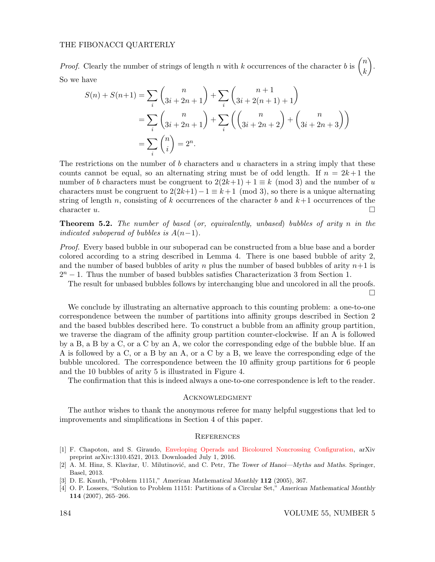*Proof.* Clearly the number of strings of length n with k occurrences of the character b is  $\binom{n}{k}$ k . So we have

$$
S(n) + S(n+1) = \sum_{i} {n \choose 3i+2n+1} + \sum_{i} {n+1 \choose 3i+2(n+1)+1}
$$
  
= 
$$
\sum_{i} {n \choose 3i+2n+1} + \sum_{i} {n \choose 3i+2n+2} + {n \choose 3i+2n+3}
$$
  
= 
$$
\sum_{i} {n \choose i} = 2^{n}.
$$

The restrictions on the number of  $b$  characters and  $u$  characters in a string imply that these counts cannot be equal, so an alternating string must be of odd length. If  $n = 2k+1$  the number of b characters must be congruent to  $2(2k+1) + 1 \equiv k \pmod{3}$  and the number of u characters must be congruent to  $2(2k+1)-1 \equiv k+1 \pmod{3}$ , so there is a unique alternating string of length n, consisting of k occurrences of the character b and  $k+1$  occurrences of the character  $u$ .

**Theorem 5.2.** The number of based (or, equivalently, unbased) bubbles of arity n in the indicated suboperad of bubbles is  $A(n-1)$ .

Proof. Every based bubble in our suboperad can be constructed from a blue base and a border colored according to a string described in Lemma 4. There is one based bubble of arity 2, and the number of based bubbles of arity n plus the number of based bubbles of arity  $n+1$  is  $2<sup>n</sup> - 1$ . Thus the number of based bubbles satisfies Characterization 3 from Section 1.

The result for unbased bubbles follows by interchanging blue and uncolored in all the proofs.

 $\Box$ 

We conclude by illustrating an alternative approach to this counting problem: a one-to-one correspondence between the number of partitions into affinity groups described in Section 2 and the based bubbles described here. To construct a bubble from an affinity group partition, we traverse the diagram of the affinity group partition counter-clockwise. If an A is followed by a B, a B by a C, or a C by an A, we color the corresponding edge of the bubble blue. If an A is followed by a C, or a B by an A, or a C by a B, we leave the corresponding edge of the bubble uncolored. The correspondence between the 10 affinity group partitions for 6 people and the 10 bubbles of arity 5 is illustrated in Figure 4.

The confirmation that this is indeed always a one-to-one correspondence is left to the reader.

## **ACKNOWLEDGMENT**

The author wishes to thank the anonymous referee for many helpful suggestions that led to improvements and simplifications in Section 4 of this paper.

## **REFERENCES**

- [1] F. Chapoton, and S. Giraudo, [Enveloping Operads and Bicoloured Noncrossing Configuration,](http://arxiv.org/abs/1310.4521) arXiv preprint arXiv:1310.4521, 2013. Downloaded July 1, 2016.
- [2] A. M. Hinz, S. Klavžar, U. Milutinović, and C. Petr, The Tower of Hanoi—Myths and Maths. Springer, Basel, 2013.
- [3] D. E. Knuth, "Problem 11151," American Mathematical Monthly 112 (2005), 367.
- [4] O. P. Lossers, "Solution to Problem 11151: Partitions of a Circular Set," American Mathematical Monthly 114 (2007), 265–266.